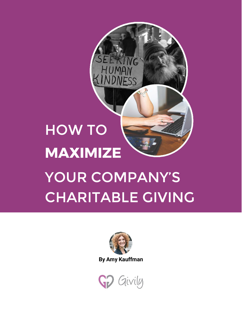# HOW TO **MAXIMIZE** YOUR COMPANY'S CHARITABLE GIVING

VG

IFSS



By Amy Kauffman

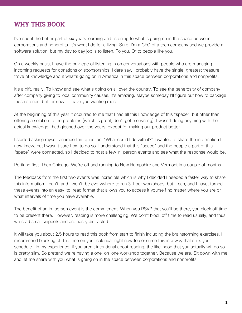## WHY THIS BOOK

I've spent the better part of six years learning and listening to what is going on in the space between corporations and nonprofits. It's what I do for a living. Sure, I'm a CEO of a tech company and we provide a software solution, but my day to day job is to listen. To you. Or to people like you.

On a weekly basis, I have the privilege of listening in on conversations with people who are managing incoming requests for donations or sponsorships. I dare say, I probably have the single-greatest treasure trove of knowledge about what's going on in America in this space between corporations and nonprofits.

It's a gift, really. To know and see what's going on all over the country. To see the generosity of company after company giving to local community causes. It's amazing. Maybe someday I'll figure out how to package these stories, but for now I'll leave you wanting more.

At the beginning of this year it occurred to me that I had all this knowledge of this "space", but other than offering a solution to the problems (which is great, don't get me wrong), I wasn't doing anything with the actual knowledge I had gleaned over the years, except for making our product better.

I started asking myself an important question. "What could I do with it?" I wanted to share the information I now knew, but I wasn't sure how to do so. I understood that this "space" and the people a part of this "space" were connected, so I decided to host a few in-person events and see what the response would be.

Portland first. Then Chicago. We're off and running to New Hampshire and Vermont in a couple of months.

The feedback from the first two events was incredible which is why I decided I needed a faster way to share this information. I can't, and I won't, be everywhere to run 3-hour workshops, but I can, and I have, turned these events into an easy-to-read format that allows you to access it yourself no matter where you are or what intervals of time you have available.

The benefit of an in-person event is the commitment. When you RSVP that you'll be there, you block off time to be present there. However, reading is more challenging. We don't block off time to read usually, and thus, we read small snippets and are easily distracted.

It will take you about 2.5 hours to read this book from start to finish including the brainstorming exercises. I recommend blocking off the time on your calendar right now to consume this in a way that suits your schedule. In my experience, if you aren't intentional about reading, the likelihood that you actually will do so is pretty slim. So pretend we're having a one-on-one workshop together. Because we are. Sit down with me and let me share with you what is going on in the space between corporations and nonprofits.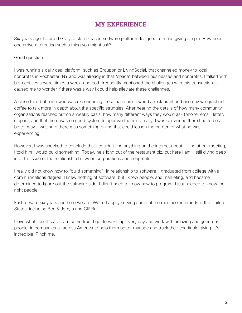## MY EXPERIENCE

Six years ago, I started Givily, a cloud-based software platform designed to make giving simple. How does one arrive at creating such a thing you might ask?

Good question.

I was running a daily deal platform, such as Groupon or LivingSocial, that channeled money to local nonprofits in Rochester, NY and was already in that "space" between businesses and nonprofits. I talked with both entities several times a week, and both frequently mentioned the challenges with this transaction. It caused me to wonder if there was a way I could help alleviate these challenges.

A close friend of mine who was experiencing these hardships owned a restaurant and one day we grabbed coffee to talk more in depth about the specific struggles. After hearing the details of how many community organizations reached out on a weekly basis, how many different ways they would ask (phone, email, letter, stop in), and that there was no good system to approve them internally, I was convinced there had to be a better way. I was sure there was something online that could lessen the burden of what he was experiencing.

However, I was shocked to conclude that I couldn't find anything on the internet about …… so at our meeting, I told him I would build something. Today, he's long out of the restaurant biz, but here I am - still diving deep into this issue of the relationship between corporations and nonprofits!

I really did not know how to "build something", in relationship to software. I graduated from college with a communications degree. I knew nothing of software, but I knew people, and marketing, and became determined to figure out the software side. I didn't need to know how to program. I just needed to know the right people.

Fast forward six years and here we are! We're happily serving some of the most iconic brands in the United States, including Ben & Jerry's and Clif Bar.

I love what I do. It's a dream come true. I get to wake up every day and work with amazing and generous people, in companies all across America to help them better manage and track their charitable giving. It's incredible. Pinch me.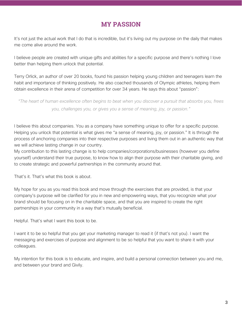## MY PASSION

It's not just the actual work that I do that is incredible, but it's living out my purpose on the daily that makes me come alive around the work.

I believe people are created with unique gifts and abilities for a specific purpose and there's nothing I love better than helping them unlock that potential.

Terry Orlick, an author of over 20 books, found his passion helping young children and teenagers learn the habit and importance of thinking positively. He also coached thousands of Olympic athletes, helping them obtain excellence in their arena of competition for over 34 years. He says this about "passion":

*"The heart of human excellence often begins to beat when you discover a pursuit that absorbs you, frees you, challenges you, or gives you a sense of meaning, joy, or passion."*

I believe this about companies. You as a company have something unique to offer for a specific purpose. Helping you unlock that potential is what gives me "a sense of meaning, joy, or passion." It is through the process of anchoring companies into their respective purposes and living them out in an authentic way that we will achieve lasting change in our country.

My contribution to this lasting change is to help companies/corporations/businesses (however you define yourself) understand their true purpose, to know how to align their purpose with their charitable giving, and to create strategic and powerful partnerships in the community around that.

That's it. That's what this book is about.

My hope for you as you read this book and move through the exercises that are provided, is that your company's purpose will be clarified for you in new and empowering ways, that you recognize what your brand should be focusing on in the charitable space, and that you are inspired to create the right partnerships in your community in a way that's mutually beneficial.

Helpful. That's what I want this book to be.

I want it to be so helpful that you get your marketing manager to read it (if that's not you). I want the messaging and exercises of purpose and alignment to be so helpful that you want to share it with your colleagues.

My intention for this book is to educate, and inspire, and build a personal connection between you and me, and between your brand and Givily.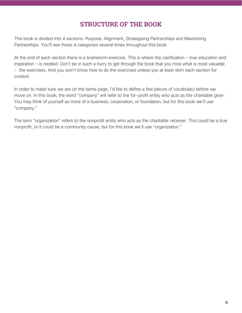## STRUCTURE OF THE BOOK

This book is divided into 4 sections: Purpose, Alignment, Strategizing Partnerships and Maximizing Partnerships. You'll see these 4 categories several times throughout this book.

At the end of each section there is a brainstorm exercise. This is where the clarification - true education and inspiration - is nestled. Don't be in such a hurry to get through the book that you miss what is most valuable - the exercises. And you won't know how to do the exercises unless you at least skim each section for context.

In order to make sure we are on the same page, I'd like to define a few pieces of vocabulary before we move on. In this book, the word "company" will refer to the for-profit entity who acts as the charitable *giver*. You may think of yourself as more of a business, corporation, or foundation, but for this book we'll use "company."

The term "organization" refers to the nonprofit entity who acts as the charitable *receiver*. This could be a true nonprofit, or it could be a community cause, but for this book we'll use "organization."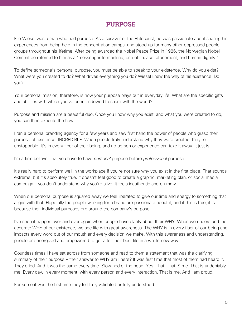## PURPOSE

Elie Wiesel was a man who had purpose. As a survivor of the Holocaust, he was passionate about sharing his experiences from being held in the concentration camps, and stood up for many other oppressed people groups throughout his lifetime. After being awarded the Nobel Peace Prize in 1986, the Norwegian Nobel Committee referred to him as a "messenger to mankind, one of "peace, atonement, and human dignity."

To define someone's personal purpose, you must be able to speak to your existence. Why do you exist? What were you created to do? What drives everything you do? Wiesel knew the why of his existence. Do you?

Your personal mission, therefore, is how your purpose plays out in everyday life. What are the specific gifts and abilities with which you've been endowed to share with the world?

Purpose and mission are a beautiful duo. Once you know why you exist, and what you were created to do, you can then execute the how.

I ran a personal branding agency for a few years and saw first hand the power of people who grasp their purpose of existence. INCREDIBLE. When people truly understand why they were created, they're unstoppable. It's in every fiber of their being, and no person or experience can take it away. It just is.

I'm a firm believer that you have to have *personal* purpose before *professional* purpose.

It's really hard to perform well in the workplace if you're not sure why you exist in the first place. That sounds extreme, but it's absolutely true. It doesn't feel good to create a graphic, marketing plan, or social media campaign if you don't understand why you're alive. It feels inauthentic and crummy.

When our personal purpose is squared away we feel liberated to give our time and energy to something that aligns with that. Hopefully the people working for a brand are passionate about it, and if this is true, it is because their individual purposes orb around the company's purpose.

I've seen it happen over and over again when people have clarity about their WHY. When we understand the accurate WHY of our existence, we see life with great awareness. The WHY is in every fiber of our being and impacts every word out of our mouth and every decision we make. With this awareness and understanding, people are energized and empowered to get after their best life in a whole new way.

Countless times I have sat across from someone and read to them a statement that was the clarifying summary of their purpose - their answer to WHY am I here? It was first time that most of them had heard it. They cried. And it was the same every time. Slow nod of the head. Yes. That. That IS me. That is undeniably me. Every day, in every moment, with every person and every interaction. That is me. And I am proud.

For some it was the first time they felt truly validated or fully understood.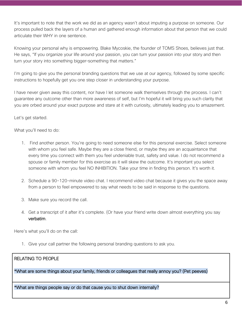It's important to note that the work we did as an agency wasn't about imputing a purpose on someone. Our process pulled back the layers of a human and gathered enough information about that person that we could articulate their WHY in one sentence.

Knowing your personal why is empowering. Blake Mycoskie, the founder of TOMS Shoes, believes just that. He says, "If you organize your life around your passion, you can turn your passion into your story and then turn your story into something bigger-something that matters."

I'm going to give you the personal branding questions that we use at our agency, followed by some specific instructions to hopefully get you one step closer in understanding your purpose.

I have never given away this content, nor have I let someone walk themselves through the process. I can't guarantee any outcome other than more awareness of self, but I'm hopeful it will bring you such clarity that you are orbed around your exact purpose and stare at it with curiosity, ultimately leading you to amazement.

Let's get started.

What you'll need to do:

- 1. Find another person. You're going to need someone else for this personal exercise. Select someone with whom you feel safe. Maybe they are a close friend, or maybe they are an acquaintance that every time you connect with them you feel undeniable trust, safety and value. I do not recommend a spouse or family member for this exercise as it will skew the outcome. It's important you select someone with whom you feel NO INHIBITION. Take your time in finding this person. It's worth it.
- 2. Schedule a 90-120-minute video chat. I recommend video chat because it gives you the space away from a person to feel empowered to say what needs to be said in response to the questions.
- 3. Make sure you record the call.
- 4. Get a transcript of it after it's complete. (Or have your friend write down almost everything you say verbatim.

Here's what you'll do on the call:

1. Give your call partner the following personal branding questions to ask you.

### RELATING TO PEOPLE

\*What are some things about your family, friends or colleagues that really annoy you? (Pet peeves)

\*What are things people say or do that cause you to shut down internally?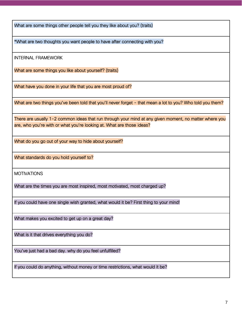What are some things other people tell you they like about you? (traits)

\*What are two thoughts you want people to have after connecting with you?

INTERNAL FRAMEWORK

What are some things you like about yourself? (traits)

What have you done in your life that you are most proud of?

What are two things you've been told that you'll never forget - that mean a lot to you? Who told you them?

There are usually 1-2 common ideas that run through your mind at any given moment, no matter where you are, who you're with or what you're looking at. What are those ideas?

What do you go out of your way to hide about yourself?

What standards do you hold yourself to?

**MOTIVATIONS** 

What are the times you are most inspired, most motivated, most charged up?

If you could have one single wish granted, what would it be? First thing to your mind!

What makes you excited to get up on a great day?

What is it that drives everything you do?

You've just had a bad day. why do you feel unfulfilled?

If you could do anything, without money or time restrictions, what would it be?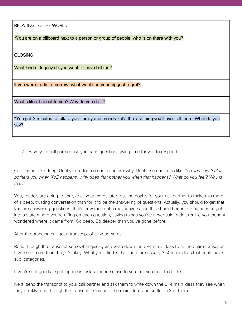RELATING TO THE WORLD

\*You are on a billboard next to a person or group of people, who is on there with you?

CLOSING

What kind of legacy do you want to leave behind?

If you were to die tomorrow, what would be your biggest regret?

What's life all about to you? Why do you do it?

\*You get 3 minutes to talk to your family and friends - it's the last thing you'll ever tell them. What do you say?

2. Have your call partner ask you each question, giving time for you to respond.

Call Partner: Go deep. Gently prod for more info and ask why. Rephrase questions like, "*so you said that it bothers you when XYZ happens. Why does that bother you when that happens? What do you feel? Why is that?*"

You, reader, are going to analyze all your words later, but the goal is for your call partner to make this more of a deep, trusting conversation than for it to be the answering of questions. Actually, you should forget that you are answering questions, that's how much of a real conversation this should become. You need to get into a state where you're riffing on each question, saying things you've never said, didn't realize you thought, wondered where it came from. Go deep. Go deeper than you've gone before.

After the branding call get a transcript of all your words.

Read through the transcript somewhat quickly and write down the 3-4 main ideas from the entire transcript. If you see more than that, it's okay. What you'll find is that there are usually 3-4 main ideas that could have sub-categories.

If you're not good at spotting ideas, ask someone close to you that you trust to do this.

Next, send the transcript to your call partner and ask them to write down the 3-4 main ideas they see when they quickly read through the transcript. Compare the main ideas and settle on 3 of them.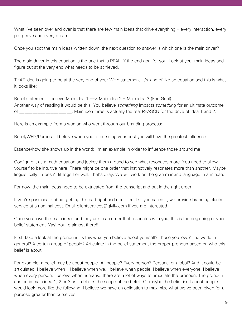What I've seen over and over is that there are few main ideas that drive everything - every interaction, every pet peeve and every dream.

Once you spot the main ideas written down, the next question to answer is which one is the main driver?

The main driver in this equation is the one that is REALLY the end goal for you. Look at your main ideas and figure out at the very end what needs to be achieved.

THAT idea is going to be at the very end of your WHY statement. It's kind of like an equation and this is what it looks like:

Belief statement: I believe Main idea 1 —-> Main idea 2 = Main idea 3 (End Goal) Another way of reading it would be this: You believe *something* impacts *something* for an ultimate outcome of \_\_\_\_\_\_\_\_\_\_\_\_\_\_\_\_\_\_\_\_. Main idea three is actually the real REASON for the drive of idea 1 and 2.

Here is an example from a woman who went through our branding process:

Belief/WHY/Purpose: I believe when you're pursuing your best you will have the greatest influence.

Essence/how she shows up in the world: I'm an example in order to influence those around me.

Configure it as a math equation and jockey them around to see what resonates more. You need to allow yourself to be intuitive here. There might be one order that instinctively resonates more than another. Maybe linguistically it doesn't fit together well. That's okay. We will work on the grammar and language in a minute.

For now, the main ideas need to be extricated from the transcript and put in the right order.

If you're passionate about getting this part right and don't feel like you nailed it, we provide branding clarity service at a nominal cost. Email clientservice[s@givily.com](mailto:clientservices@givily.com) if you are interested.

Once you have the main ideas and they are in an order that resonates with you, this is the beginning of your belief statement. Yay! You're almost there!!

First, take a look at the pronouns. Is this what you believe about yourself? Those you love? The world in general? A certain group of people? Articulate in the belief statement the proper pronoun based on who this belief is about.

For example, a belief may be about people. All people? Every person? Personal or global? And it could be articulated: I believe when I, I believe when we, I believe when people, I believe when everyone, I believe when every person, I believe when humans...there are a lot of ways to articulate the pronoun. The pronoun can be in main idea 1, 2 or 3 as it defines the scope of the belief. Or maybe the belief isn't about people. It would look more like the following: I believe we have an obligation to maximize what we've been given for a purpose greater than ourselves.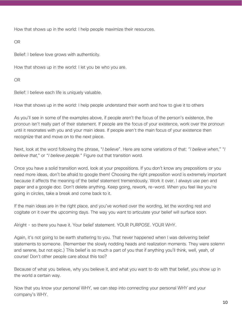How that shows up in the world: I help people maximize their resources.

OR

Belief: I believe love grows with authenticity.

How that shows up in the world: I let you be who you are.

OR

Belief: I believe each life is uniquely valuable.

How that shows up in the world: I help people understand their worth and how to give it to others

As you'll see in some of the examples above, if people aren't the focus of the person's existence, the pronoun isn't really part of their statement. If people are the focus of your existence, work over the pronoun until it resonates with you and your main ideas. If people aren't the main focus of your existence then recognize that and move on to the next piece.

Next, look at the word following the phrase, "*I believe*". Here are some variations of that: "*I believe when*," "*I believe that*," or "*I believe people.*" Figure out that transition word.

Once you have a solid transition word, look at your prepositions. If you don't know any prepositions or you need more ideas, don't be afraid to google them! Choosing the right preposition word is extremely important because it affects the meaning of the belief statement tremendously. Work it over. I always use pen and paper and a google doc. Don't delete anything. Keep going, rework, re-word. When you feel like you're going in circles, take a break and come back to it.

If the main ideas are in the right place, and you've worked over the wording, let the wording rest and cogitate on it over the upcoming days. The way you want to articulate your belief will surface soon.

Alright - so there you have it. Your belief statement. YOUR PURPOSE. YOUR WHY.

Again, it's not going to be earth shattering to you. That never happened when I was delivering belief statements to someone. (Remember the slowly nodding heads and realization moments. They were solemn and serene, but not epic.) This belief is so much a part of you that if anything you'll think, well, yeah, of course! Don't other people care about this too?

Because of what you believe, why you believe it, and what you want to do with that belief, you show up in the world a certain way.

Now that you know your personal WHY, we can step into connecting your personal WHY and your company's WHY.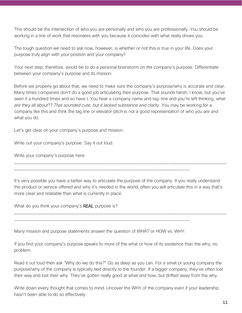This should be the intersection of who you are personally and who you are professionally. You should be working in a line of work that resonates with you because it coincides with what really drives you.

The tough question we need to ask now, however, is whether or not this is true in your life. Does your purpose truly align with your position and your company?

Your next step, therefore, would be to do a personal brainstorm on the company's purpose. Differentiate between your company's purpose and its mission.

Before we properly go about that, we need to make sure the company's purpose/why is accurate and clear. Many times companies don't do a good job articulating their purpose. That sounds harsh, I know, but you've seen it a hundred times and so have I. You hear a company name and tag-line and you're left thinking, *what are they all about*?? *That sounded cute, but it lacked substance and clarity*. You may be working for a company like this and think the tag line or elevator pitch is not a good representation of who you are and what you do.

Let's get clear on your company's purpose and mission.

Write out your company's purpose. Say it out loud.

Write your company's purpose here:

It's very possible you have a better way to articulate the purpose of the company. If you really understand the product or service offered and why it's needed in the world, often you will articulate this in a way that's more clear and relatable than what is currently in place.

\_\_\_\_\_\_\_\_\_\_\_\_\_\_\_\_\_\_\_\_\_\_\_\_\_\_\_\_\_\_\_\_\_\_\_\_\_\_\_\_\_\_\_\_\_\_\_\_\_\_\_\_\_\_\_\_\_\_\_\_\_\_\_\_\_\_\_\_\_\_\_\_\_\_\_\_\_\_\_\_\_

\_\_\_\_\_\_\_\_\_\_\_\_\_\_\_\_\_\_\_\_\_\_\_\_\_\_\_\_\_\_\_\_\_\_\_\_\_\_\_\_\_\_\_\_\_\_\_\_\_\_\_\_\_\_\_\_\_\_\_\_\_\_\_\_\_\_\_\_\_\_\_\_\_\_\_\_\_\_\_\_\_

What do you think your company's **REAL** purpose is?

Many mission and purpose statements answer the question of WHAT or HOW vs. WHY.

\_\_\_\_\_\_\_\_\_\_\_\_\_\_\_\_\_\_\_\_\_\_\_\_\_\_\_\_\_\_\_\_\_\_\_\_\_\_\_\_\_\_\_\_\_\_\_\_\_\_\_\_\_\_\_\_\_\_\_\_\_\_\_\_\_\_\_

\_\_\_\_\_\_\_\_\_\_\_\_\_\_\_\_\_\_\_\_\_\_\_\_\_\_\_\_\_\_\_\_\_\_\_\_\_\_\_\_\_\_\_\_\_\_\_\_\_\_\_\_\_\_\_\_\_\_\_\_\_\_\_\_\_\_\_

If you find your company's purpose speaks to more of the what or how of its existence than the why, no problem.

Read it out loud then ask "Why do we do this?" Go as deep as you can. For a small or young company the purpose/why of the company is typically tied directly to the founder. If a bigger company, they've often lost their way and lost their why. They've gotten really good at what and how, but drifted away from the why.

Write down every thought that comes to mind. Uncover the WHY of the company even if your leadership hasn't been able to do so effectively.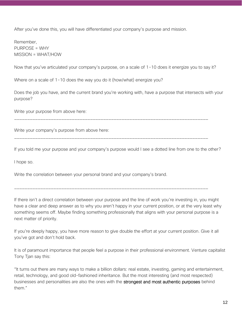After you've done this, you will have differentiated your company's purpose and mission.

Remember, PURPOSE = WHY MISSION = WHAT/HOW

Now that you've articulated your company's purpose, on a scale of 1-10 does it energize you to say it?

Where on a scale of 1-10 does the way you do it (how/what) energize you?

Does the job you have, and the current brand you're working with, have a purpose that intersects with your purpose?

Write your purpose from above here:

Write your company's purpose from above here:

\_\_\_\_\_\_\_\_\_\_\_\_\_\_\_\_\_\_\_\_\_\_\_\_\_\_\_\_\_\_\_\_\_\_\_\_\_\_\_\_\_\_\_\_\_\_\_\_\_\_\_\_\_\_\_\_\_\_\_\_\_\_\_\_\_\_\_\_\_\_\_\_\_\_

\_\_\_\_\_\_\_\_\_\_\_\_\_\_\_\_\_\_\_\_\_\_\_\_\_\_\_\_\_\_\_\_\_\_\_\_\_\_\_\_\_\_\_\_\_\_\_\_\_\_\_\_\_\_\_\_\_\_\_\_\_\_\_\_\_\_\_\_\_\_\_\_\_\_

If you told me your purpose and your company's purpose would I see a dotted line from one to the other?

I hope so.

Write the correlation between your personal brand and your company's brand.

If there isn't a direct correlation between your purpose and the line of work you're investing in, you might have a clear and deep answer as to why you aren't happy in your current position, or at the very least why something seems off. Maybe finding something professionally that aligns with your personal purpose is a next matter of priority.

\_\_\_\_\_\_\_\_\_\_\_\_\_\_\_\_\_\_\_\_\_\_\_\_\_\_\_\_\_\_\_\_\_\_\_\_\_\_\_\_\_\_\_\_\_\_\_\_\_\_\_\_\_\_\_\_\_\_\_\_\_\_\_\_\_\_\_\_\_\_\_\_\_\_

If you're deeply happy, you have more reason to give double the effort at your current position. Give it all you've got and don't hold back.

It is of paramount importance that people feel a purpose in their professional environment. Venture capitalist Tony Tjan say this:

"It turns out there are many ways to make a billion dollars: real estate, investing, gaming and entertainment, retail, technology, and good old-fashioned inheritance. But the most interesting (and most respected) businesses and personalities are also the ones with the strongest and most authentic purposes behind them."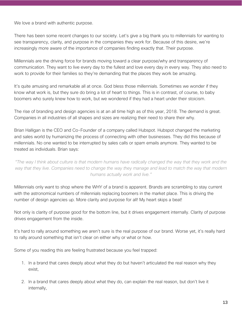We love a brand with authentic purpose.

There has been some recent changes to our society. Let's give a big thank you to millennials for wanting to see transparency, clarity, and purpose in the companies they work for. Because of this desire, we're increasingly more aware of the importance of companies finding exactly that. Their purpose.

Millennials are the driving force for brands moving toward a clear purpose/why and transparency of communication. They want to live every day to the fullest and love every day in every way. They also need to work to provide for their families so they're demanding that the places they work be amazing.

It's quite amusing and remarkable all at once. God bless those millennials. Sometimes we wonder if they know what work is, but they sure do bring a lot of heart to things. This is in contrast, of course, to baby boomers who surely knew how to work, but we wondered if they had a heart under their stoicism.

The rise of branding and design agencies is at an all time high as of this year, 2018. The demand is great. Companies in all industries of all shapes and sizes are realizing their need to share their why.

Brian Halligan is the CEO and Co-Founder of a company called Hubspot. Hubspot changed the marketing and sales world by humanizing the process of connecting with other businesses. They did this because of millennials. No one wanted to be interrupted by sales calls or spam emails anymore. They wanted to be treated as individuals. Brian says:

*"The way I think about culture is that modern humans have radically changed the way that they work and the way that they live. Companies need to change the way they manage and lead to match the way that modern humans actually work and live."*

Millennials only want to shop where the WHY of a brand is apparent. Brands are scrambling to stay current with the astronomical numbers of millennials replacing boomers in the market place. This is driving the number of design agencies up. More clarity and purpose for all! My heart skips a beat!

Not only is clarity of purpose good for the bottom line, but it drives engagement internally. Clarity of purpose drives engagement from the inside.

It's hard to rally around something we aren't sure is the real purpose of our brand. Worse yet, it's really hard to rally around something that isn't clear on either why or what or how.

Some of you reading this are feeling frustrated because you feel trapped:

- 1. In a brand that cares deeply about what they do but haven't articulated the real reason why they exist,
- 2. In a brand that cares deeply about what they do, can explain the real reason, but don't live it internally,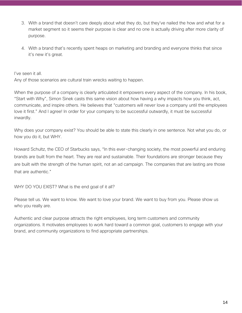- 3. With a brand that doesn't care deeply about what they do, but they've nailed the how and what for a market segment so it seems their purpose is clear and no one is actually driving after more clarity of purpose.
- 4. With a brand that's recently spent heaps on marketing and branding and everyone thinks that since it's new it's great.

I've seen it all.

Any of those scenarios are cultural train wrecks waiting to happen.

When the purpose of a company is clearly articulated it empowers every aspect of the company. In his book, "Start with Why", Simon Sinek casts this same vision about how having a why impacts how you think, act, communicate, and inspire others. He believes that "customers will never love a company until the employees love it first." And I agree! In order for your company to be successful outwardly, it must be successful inwardly.

Why does your company exist? You should be able to state this clearly in one sentence. Not what you do, or how you do it, but WHY.

Howard Schultz, the CEO of Starbucks says, "In this ever-changing society, the most powerful and enduring brands are built from the heart. They are real and sustainable. Their foundations are stronger because they are built with the strength of the human spirit, not an ad campaign. The companies that are lasting are those that are authentic."

WHY DO YOU EXIST? What is the end goal of it all?

Please tell us. We want to know. We want to love your brand. We want to buy from you. Please show us who you really are.

Authentic and clear purpose attracts the right employees, long term customers and community organizations. It motivates employees to work hard toward a common goal, customers to engage with your brand, and community organizations to find appropriate partnerships.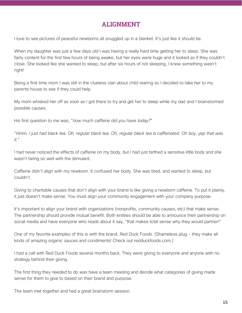## ALIGNMENT

I love to see pictures of peaceful newborns all snuggled up in a blanket. It's just like it should be.

When my daughter was just a few days old I was having a really hard time getting her to sleep. She was fairly content for the first few hours of being awake, but her eyes were huge and it looked as if they couldn't close. She looked like she wanted to sleep, but after six hours of not sleeping, I knew something wasn't right!

Being a first time mom I was still in the clueless clan about child rearing so I decided to take her to my parents house to see if they could help.

My mom whisked her off as soon as I got there to try and get her to sleep while my dad and I brainstormed possible causes.

His first question to me was, "*how much caffeine did you have today?*"

"*Hmm, I just had black tea. Oh, regular black tea. Oh, regular black tea is caffeinated. Oh boy, yep that was it.*"

I had never noticed the effects of caffeine on my body, but I had just birthed a sensitive little body and she wasn't faring so well with the stimulant.

Caffeine didn't align with my newborn. It confused her body. She was tired, and wanted to sleep, but couldn't.

Giving to charitable causes that don't align with your brand is like giving a newborn caffeine. To put it plainly, it just doesn't make sense. You must align your community engagement with your company purpose.

It's important to align your brand with organizations (nonprofits, community causes, etc) that make sense. The partnership should provide mutual benefit. Both entities should be able to announce their partnership on social media and have everyone who reads about it say, "that makes total sense why they would partner!"

One of my favorite examples of this is with the brand, Red Duck Foods. (Shameless plug - they make all kinds of amazing organic sauces and condiments! Check out redduckfoods.com.)

I had a call with Red Duck Foods several months back. They were giving to everyone and anyone with no strategy behind their giving.

The first thing they needed to do was have a team meeting and decide what categories of giving made sense for them to give to based on their brand and purpose.

The team met together and had a great brainstorm session.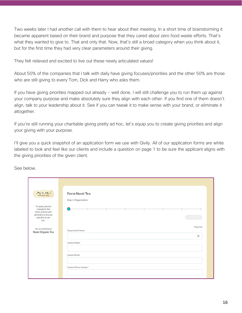Two weeks later I had another call with them to hear about their meeting. In a short time of brainstorming it became apparent based on their brand and purpose that they cared about zero food waste efforts. That's what they wanted to give to. That and only that. Now, that's still a broad category when you think about it, but for the first time they had very clear parameters around their giving.

They felt relieved and excited to live out these newly articulated values!

About 50% of the companies that I talk with daily have giving focuses/priorities and the other 50% are those who are still giving to every Tom, Dick and Harry who asks them.

If you have giving priorities mapped out already - well done. I will still challenge you to run them up against your company purpose and make absolutely sure they align with each other. If you find one of them doesn't align, talk to your leadership about it. See if you can tweak it to make sense with your brand, or eliminate it altogether.

If you're still running your charitable giving pretty ad hoc, let's equip you to create giving priorities and align your giving with your purpose.

I'll give you a quick snapshot of an application form we use with Givily. All of our application forms are white labeled to look and feel like our clients and include a question on page 1 to be sure the applicant aligns with the giving priorities of the given client.

See below.

| NUMI<br>ORGANIC TEA                                                                                 | Form Numi Tea<br>Step 1: Organization                                                                                                                              |
|-----------------------------------------------------------------------------------------------------|--------------------------------------------------------------------------------------------------------------------------------------------------------------------|
| To apply, please<br>complete the<br>form and we will<br>get back to you as<br>quickly as we<br>can. | ة المستحدة المستقلة المستحدة المستحدة المستحدة المستحدة المستحدة المستحدة المستحدة المستحدة المستحدة<br>$\left( \begin{array}{c} \end{array} \right)$<br>NEXT STEP |
| You are applying to<br>Numi Organic Tea                                                             | *Required<br>Organization Name*                                                                                                                                    |
|                                                                                                     | Contact Name*                                                                                                                                                      |
|                                                                                                     | Contact Email*                                                                                                                                                     |
|                                                                                                     | Contact Phone Number*                                                                                                                                              |
|                                                                                                     |                                                                                                                                                                    |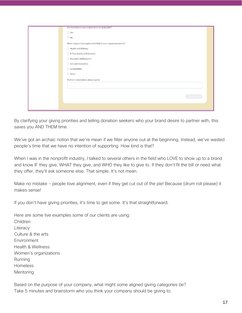| Are donations to your organization tax deductible?*                |
|--------------------------------------------------------------------|
| ◯ Yes                                                              |
| $\bigcirc$ No                                                      |
| What category best captures the field of your organization/event?* |
| $\bigcirc$ Health and Wellness                                     |
| ◯ B Corp and Social Enterprise                                     |
| ◯ Education and Research                                           |
| ○ Arts and Humanities                                              |
| ◯ Sustainability                                                   |
| ○ Other                                                            |
| If other is noted above, please specify                            |
|                                                                    |
|                                                                    |
| NEXT STEP                                                          |
|                                                                    |
|                                                                    |
|                                                                    |

By clarifying your giving priorities and telling donation seekers who your brand desire to partner with, this saves you AND THEM time.

We've got an archaic notion that we're mean if we filter anyone out at the beginning. Instead, we've wasted people's time that we have no intention of supporting. How kind is that?

When I was in the nonprofit industry, I talked to several others in the field who LOVE to show up to a brand and know IF they give, WHAT they give, and WHO they like to give to. If they don't fit the bill or need what they offer, they'll ask someone else. That simple. It's not mean.

Make no mistake - people love alignment, even if they get cut out of the pie! Because (drum roll please) it makes sense!

If you don't have giving priorities, it's time to get some. It's that straightforward.

Here are some live examples some of our clients are using: Children **Literacy** Culture & the arts **Environment** Health & Wellness Women's organizations Running **Homeless** Mentoring

Based on the purpose of your company, what might some aligned giving categories be? Take 5 minutes and brainstorm who you think your company should be giving to.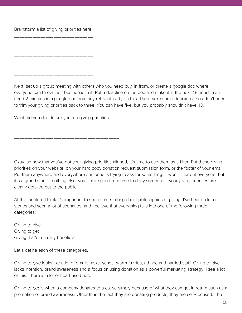#### Brainstorm a list of giving priorities here:

Next, set up a group meeting with others who you need buy-in from, or create a google doc where everyone can throw their best ideas in it. Put a deadline on the doc and make it in the next 48 hours. You need 2 minutes in a google doc from any relevant party on this. Then make some decisions. You don't need to trim your giving priorities back to three. You can have five, but you probably shouldn't have 10.

What did you decide are you top giving priorities:

\_\_\_\_\_\_\_\_\_\_\_\_\_\_\_\_\_\_\_\_\_\_\_\_\_\_\_\_\_\_\_\_\_\_\_\_\_\_\_\_ \_\_\_\_\_\_\_\_\_\_\_\_\_\_\_\_\_\_\_\_\_\_\_\_\_\_\_\_\_\_\_\_\_\_\_\_\_\_\_\_ \_\_\_\_\_\_\_\_\_\_\_\_\_\_\_\_\_\_\_\_\_\_\_\_\_\_\_\_\_\_\_\_\_\_\_\_\_\_\_ \_\_\_\_\_\_\_\_\_\_\_\_\_\_\_\_\_\_\_\_\_\_\_\_\_\_\_\_\_\_\_\_\_\_\_\_\_\_\_\_

\_\_\_\_\_\_\_\_\_\_\_\_\_\_\_\_\_\_\_\_\_\_\_\_\_\_\_\_\_\_\_\_\_\_\_\_\_\_\_\_

Okay, so now that you've got your giving priorities aligned, it's time to use them as a filter. Put these giving priorities on your website, on your hard copy donation request submission form, or the footer of your email. Put them anywhere and everywhere someone is trying to ask for something. It won't filter out everyone, but it's a grand start. If nothing else, you'll have good recourse to deny someone if your giving priorities are clearly detailed out to the public.

At this juncture I think it's important to spend time talking about philosophies of giving. I've heard a lot of stories and seen a lot of scenarios, and I believe that everything falls into one of the following three categories:

Giving to give Giving to get Giving that's mutually beneficial

Let's define each of these categories.

Giving to *give* looks like a lot of emails, asks, yeses, warm fuzzies, ad hoc and harried staff. Giving to give lacks intention, brand awareness and a focus on using donation as a powerful marketing strategy. I see a lot of this. There is a lot of heart used here.

Giving to *get* is when a company donates to a cause simply because of what they can get in return such as a promotion or brand awareness. Other than the fact they are donating products, they are self-focused. The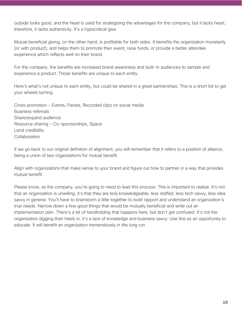outside looks good, and the head is used for strategizing the advantages for the company, but it lacks heart; therefore, it lacks authenticity. It's a hypocritical give.

Mutual beneficial giving, on the other hand, is profitable for both sides. It benefits the organization monetarily (or with product), and helps them to promote their event, raise funds, or provide a better attendee experience which reflects well on their brand.

For the company, the benefits are increased brand awareness and built-in audiences to sample and experience a product. Those benefits are unique to each entity.

Here's what's not unique to each entity, but could be shared in a great partnerships. This is a short list to get your wheels turning.

Cross promotion - Events, Panels, Recorded clips on social media Business referrals Share/expand audience Resource sharing - Co-sponsorships, Space Lend credibility **Collaboration** 

If we go back to our original definition of alignment, you will remember that it refers to a position of alliance, being a union of two organizations for mutual benefit.

Align with organizations that make sense to your brand and figure out how to partner in a way that provides mutual benefit.

Please know, as the company, you're going to need to lead this process. This is important to realize. It's not that an organization is unwilling, it's that they are less knowledgeable, less staffed, less tech savvy, less idea savvy in general. You'll have to brainstorm a little together to build rapport and understand an organization's true needs. Narrow down a few good things that would be mutually beneficial and write out an implementation plan. There's a bit of handholding that happens here, but don't get confused. It's not the organization digging their heels in, it's a lack of knowledge and business savvy. Use this as an opportunity to educate. It will benefit an organization tremendously in the long run.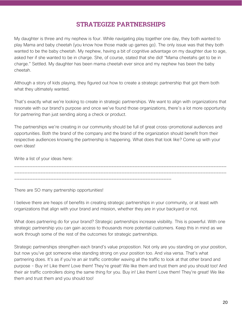## STRATEGIZE PARTNERSHIPS

My daughter is three and my nephew is four. While navigating play together one day, they both wanted to play Mama and baby cheetah (you know how those made up games go). The only issue was that they both wanted to be the baby cheetah. My nephew, having a bit of cognitive advantage on my daughter due to age, asked her if she wanted to be in charge. She, of course, stated that she did! "Mama cheetahs get to be in charge." Settled. My daughter has been mama cheetah ever since and my nephew has been the baby cheetah.

Although a story of kids playing, they figured out how to create a strategic partnership that got them both what they ultimately wanted.

That's exactly what we're looking to create in strategic partnerships. We want to align with organizations that resonate with our brand's purpose and once we've found those organizations, there's a lot more opportunity for partnering than just sending along a check or product.

The partnerships we're creating in our community should be full of great cross-promotional audiences and opportunities. Both the brand of the company and the brand of the organization should benefit from their respective audiences knowing the partnership is happening. What does that look like? Come up with your own ideas!

\_\_\_\_\_\_\_\_\_\_\_\_\_\_\_\_\_\_\_\_\_\_\_\_\_\_\_\_\_\_\_\_\_\_\_\_\_\_\_\_\_\_\_\_\_\_\_\_\_\_\_\_\_\_\_\_\_\_\_\_\_\_\_\_\_\_\_\_\_\_\_\_\_\_\_\_\_\_\_\_\_ \_\_\_\_\_\_\_\_\_\_\_\_\_\_\_\_\_\_\_\_\_\_\_\_\_\_\_\_\_\_\_\_\_\_\_\_\_\_\_\_\_\_\_\_\_\_\_\_\_\_\_\_\_\_\_\_\_\_\_\_\_\_\_\_\_\_\_\_\_\_\_\_\_\_\_\_\_\_\_\_\_

Write a list of your ideas here:

There are SO many partnership opportunities!

I believe there are heaps of benefits in creating strategic partnerships in your community, or at least with organizations that align with your brand and mission, whether they are in your backyard or not.

\_\_\_\_\_\_\_\_\_\_\_\_\_\_\_\_\_\_\_\_\_\_\_\_\_\_\_\_\_\_\_\_\_\_\_\_\_\_\_\_\_\_\_\_\_\_\_\_\_\_\_\_\_\_\_\_\_\_\_\_

What does partnering do for your brand? Strategic partnerships increase visibility. This is powerful. With one strategic partnership you can gain access to thousands more potential customers. Keep this in mind as we work through some of the rest of the outcomes for strategic partnerships.

Strategic partnerships strengthen each brand's value proposition. Not only are you standing on your position, but now you've got someone else standing strong on your position too. And visa versa. That's what partnering does. It's as if you're an air traffic controller waving all the traffic to look at that other brand and purpose - Buy in! Like them! Love them! They're great! We like them and trust them and you should too! And their air traffic controllers doing the same thing for you. Buy in! Like them! Love them! They're great! We like them and trust them and you should too!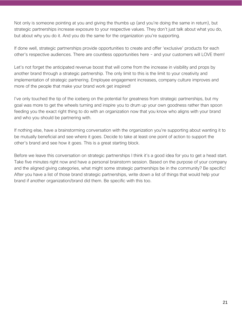Not only is someone pointing at you and giving the thumbs up (and you're doing the same in return), but strategic partnerships increase exposure to your respective values. They don't just talk about what you do, but about why you do it. And you do the same for the organization you're supporting.

If done well, strategic partnerships provide opportunities to create and offer 'exclusive' products for each other's respective audiences. There are countless opportunities here - and your customers will LOVE them!

Let's not forget the anticipated revenue boost that will come from the increase in visibility and props by another brand through a strategic partnership. The only limit to this is the limit to your creativity and implementation of strategic partnering. Employee engagement increases, company culture improves and more of the people that make your brand work get inspired!

I've only touched the tip of the iceberg on the potential for greatness from strategic partnerships, but my goal was more to get the wheels turning and inspire you to drum up your own goodness rather than spoon feeding you the exact right thing to do with an organization now that you know who aligns with your brand and who you should be partnering with.

If nothing else, have a brainstorming conversation with the organization you're supporting about wanting it to be mutually beneficial and see where it goes. Decide to take at least one point of action to support the other's brand and see how it goes. This is a great starting block.

Before we leave this conversation on strategic partnerships I think it's a good idea for you to get a head start. Take five minutes right now and have a personal brainstorm session. Based on the purpose of your company and the aligned giving categories, what might some strategic partnerships be in the community? Be specific! After you have a list of those brand strategic partnerships, write down a list of things that would help your brand if another organization/brand did them. Be specific with this too.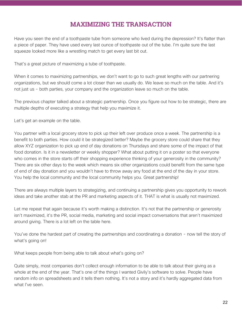## MAXIMIZING THE TRANSACTION

Have you seen the end of a toothpaste tube from someone who lived during the depression? It's flatter than a piece of paper. They have used every last ounce of toothpaste out of the tube. I'm quite sure the last squeeze looked more like a wrestling match to get every last bit out.

That's a great picture of maximizing a tube of toothpaste.

When it comes to maximizing partnerships, we don't want to go to such great lengths with our partnering organizations, but we should come a lot closer than we usually do. We leave so much on the table. And it's not just us - both parties, your company and the organization leave so much on the table.

The previous chapter talked about a strategic partnership. Once you figure out how to be strategic, there are multiple depths of executing a strategy that help you maximize it.

Let's get an example on the table.

You partner with a local grocery store to pick up their left over produce once a week. The partnership is a benefit to both parties. How could it be strategized better? Maybe the grocery store could share that they allow XYZ organization to pick up end of day donations on Thursdays and share some of the impact of that food donation. Is it in a newsletter or weekly shopper? What about putting it on a poster so that everyone who comes in the store starts off their shopping experience thinking of your generosity in the community? There are six other days to the week which means six other organizations could benefit from the same type of end of day donation and you wouldn't have to throw away any food at the end of the day in your store. You help the local community and the local community helps you. Great partnership!

There are always multiple layers to strategizing, and continuing a partnership gives you opportunity to rework ideas and take another stab at the PR and marketing aspects of it. THAT is what is usually not maximized.

Let me repeat that again because it's worth making a distinction. It's not that the partnership or generosity isn't maximized, it's the PR, social media, marketing and social impact conversations that aren't maximized around giving. There is a lot left on the table here.

You've done the hardest part of creating the partnerships and coordinating a donation - now tell the story of what's going on!

What keeps people from being able to talk about what's going on?

Quite simply, most companies don't collect enough information to be able to talk about their giving as a whole at the end of the year. That's one of the things I wanted Givily's software to solve. People have random info on spreadsheets and it tells them nothing. It's not a story and it's hardly aggregated data from what I've seen.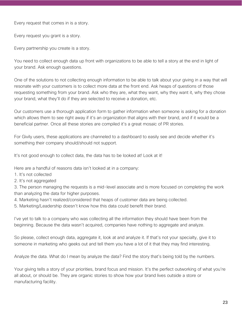Every request that comes in is a story.

Every request you grant is a story.

Every partnership you create is a story.

You need to collect enough data up front with organizations to be able to tell a story at the end in light of your brand. Ask enough questions.

One of the solutions to not collecting enough information to be able to talk about your giving in a way that will resonate with your customers is to collect more data at the front end. Ask heaps of questions of those requesting something from your brand. Ask who they are, what they want, why they want it, why they chose your brand, what they'll do if they are selected to receive a donation, etc.

Our customers use a thorough application form to gather information when someone is asking for a donation which allows them to see right away if it's an organization that aligns with their brand, and if it would be a beneficial partner. Once all these stories are compiled it's a great mosaic of PR stories.

For Givily users, these applications are channeled to a dashboard to easily see and decide whether it's something their company should/should not support.

It's not good enough to collect data, the data has to be looked at! Look at it!

Here are a handful of reasons data isn't looked at in a company:

- 1. It's not collected
- 2. It's not aggregated

3. The person managing the requests is a mid-level associate and is more focused on completing the work than analyzing the data for higher purposes.

4. Marketing hasn't realized/considered that heaps of customer data are being collected.

5. Marketing/Leadership doesn't know how this data could benefit their brand.

I've yet to talk to a company who was collecting all the information they should have been from the beginning. Because the data wasn't acquired, companies have nothing to aggregate and analyze.

So please, collect enough data, aggregate it, look at and analyze it. If that's not your specialty, give it to someone in marketing who geeks out and tell them you have a lot of it that they may find interesting.

Analyze the data. What do I mean by analyze the data? Find the story that's being told by the numbers.

Your giving tells a story of your priorities, brand focus and mission. It's the perfect outworking of what you're all about, or should be. They are organic stories to show how your brand lives outside a store or manufacturing facility.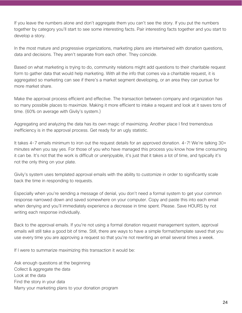If you leave the numbers alone and don't aggregate them you can't see the story. If you put the numbers together by category you'll start to see some interesting facts. Pair interesting facts together and you start to develop a story.

In the most mature and progressive organizations, marketing plans are intertwined with donation questions, data and decisions. They aren't separate from each other. They coincide.

Based on what marketing is trying to do, community relations might add questions to their charitable request form to gather data that would help marketing. With all the info that comes via a charitable request, it is aggregated so marketing can see if there's a market segment developing, or an area they can pursue for more market share.

Make the approval process efficient and effective. The transaction between company and organization has so many possible places to maximize. Making it more efficient to intake a request and look at it saves tons of time. (60% on average with Givily's system.)

Aggregating and analyzing the data has its own magic of maximizing. Another place I find tremendous inefficiency is in the approval process. Get ready for an ugly statistic.

It takes 4-7 emails minimum to iron out the request details for an approved donation. 4-7! We're talking 30+ minutes when you say yes. For those of you who have managed this process you know how time consuming it can be. It's not that the work is difficult or unenjoyable, it's just that it takes a lot of time, and typically it's not the only thing on your plate.

Givily's system uses templated approval emails with the ability to customize in order to significantly scale back the time in responding to requests.

Especially when you're sending a message of denial, you don't need a formal system to get your common response narrowed down and saved somewhere on your computer. Copy and paste this into each email when denying and you'll immediately experience a decrease in time spent. Please. Save HOURS by not writing each response individually.

Back to the approval emails. If you're not using a formal donation request management system, approval emails will still take a good bit of time. Still, there are ways to have a simple format/template saved that you use every time you are approving a request so that you're not rewriting an email several times a week.

If I were to summarize maximizing this transaction it would be:

Ask enough questions at the beginning Collect & aggregate the data Look at the data Find the story in your data Marry your marketing plans to your donation program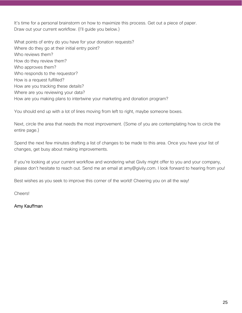It's time for a personal brainstorm on how to maximize this process. Get out a piece of paper. Draw out your current workflow. (I'll guide you below.)

What points of entry do you have for your donation requests? Where do they go at their initial entry point? Who reviews them? How do they review them? Who approves them? Who responds to the requestor? How is a request fulfilled? How are you tracking these details? Where are you reviewing your data? How are you making plans to intertwine your marketing and donation program?

You should end up with a lot of lines moving from left to right, maybe someone boxes.

Next, circle the area that needs the most improvement. (Some of you are contemplating how to circle the entire page.)

Spend the next few minutes drafting a list of changes to be made to this area. Once you have your list of changes, get busy about making improvements.

If you're looking at your current workflow and wondering what Givily might offer to you and your company, please don't hesitate to reach out. Send me an email at amy@givily.com. I look forward to hearing from you!

Best wishes as you seek to improve this corner of the world! Cheering you on all the way!

Cheers!

Amy Kauffman